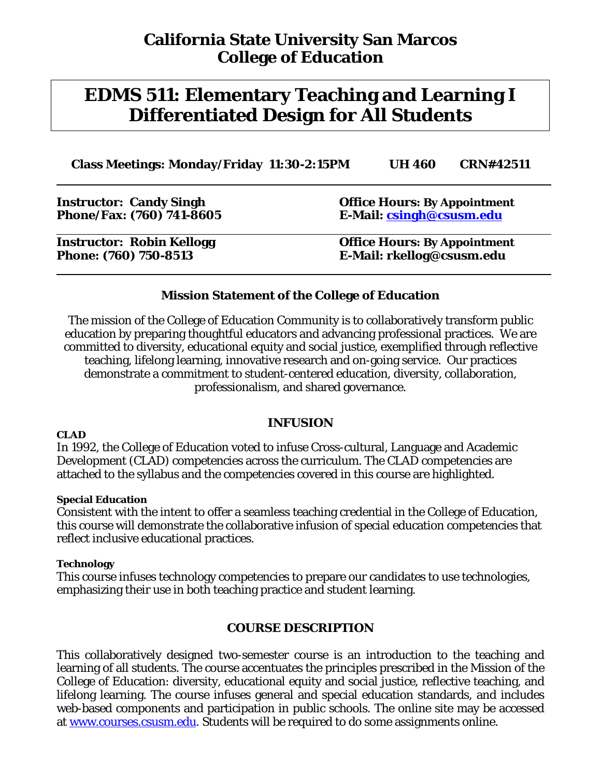# **EDMS 511: Elementary Teaching and Learning I Differentiated Design for All Students**

**Class Meetings: Monday/Friday 11:30-2:15PM UH 460 CRN#42511**

| <b>Instructor: Candy Singh</b>   | <b>Office Hours: By Appointment</b> |
|----------------------------------|-------------------------------------|
| Phone/Fax: (760) 741-8605        | E-Mail: csingh@csusm.edu            |
| <b>Instructor: Robin Kellogg</b> | <b>Office Hours: By Appointment</b> |
| Phone: (760) 750-8513            | E-Mail: rkellog@csusm.edu           |

### **Mission Statement of the College of Education**

The mission of the College of Education Community is to collaboratively transform public education by preparing thoughtful educators and advancing professional practices. We are committed to diversity, educational equity and social justice, exemplified through reflective teaching, lifelong learning, innovative research and on-going service. Our practices demonstrate a commitment to student-centered education, diversity, collaboration, professionalism, and shared governance.

#### **CLAD**

#### **INFUSION**

In 1992, the College of Education voted to infuse Cross-cultural, Language and Academic Development (CLAD) competencies across the curriculum. The CLAD competencies are attached to the syllabus and the competencies covered in this course are highlighted.

#### **Special Education**

Consistent with the intent to offer a seamless teaching credential in the College of Education, this course will demonstrate the collaborative infusion of special education competencies that reflect inclusive educational practices.

#### **Technology**

This course infuses technology competencies to prepare our candidates to use technologies, emphasizing their use in both teaching practice and student learning.

#### **COURSE DESCRIPTION**

This collaboratively designed two-semester course is an introduction to the teaching and learning of all students. The course accentuates the principles prescribed in the Mission of the College of Education: diversity, educational equity and social justice, reflective teaching, and lifelong learning. The course infuses general and special education standards, and includes web-based components and participation in public schools. The online site may be accessed at [www.courses.csusm.edu.](http://www.courses.csusm.edu/) Students will be required to do some assignments online.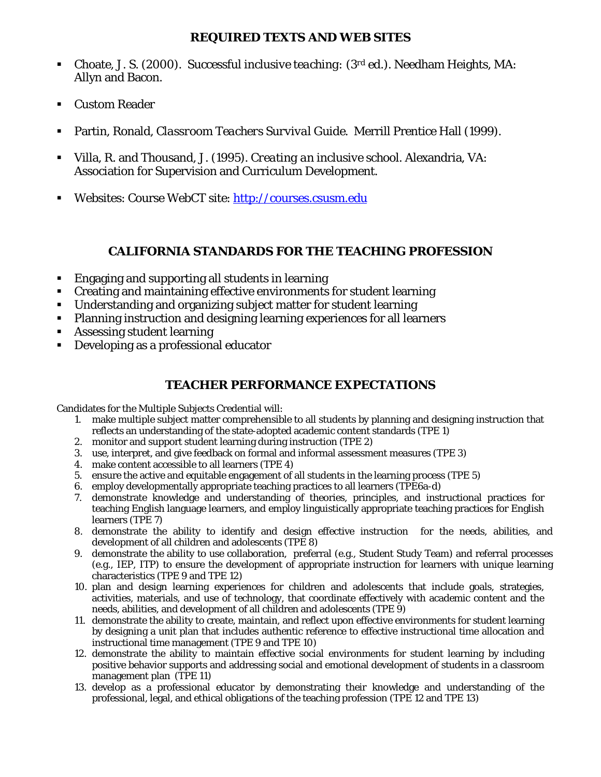#### **REQUIRED TEXTS AND WEB SITES**

- Choate, J. S. (2000). *Successful inclusive teaching: (3rd ed.).* Needham Heights, MA: Allyn and Bacon.
- Custom Reader
- Partin, Ronald*, Classroom Teachers Survival Guide*. Merrill Prentice Hall (1999).
- Villa, R. and Thousand, J. (1995). *Creating an inclusive school*. Alexandria, VA: Association for Supervision and Curriculum Development.
- Websites: Course WebCT site: [http://courses.csusm.edu](http://courses.csusm.edu/)

# **CALIFORNIA STANDARDS FOR THE TEACHING PROFESSION**

- **Engaging and supporting all students in learning**
- Creating and maintaining effective environments for student learning
- Understanding and organizing subject matter for student learning
- Planning instruction and designing learning experiences for all learners
- **Assessing student learning**
- Developing as a professional educator

## **TEACHER PERFORMANCE EXPECTATIONS**

Candidates for the Multiple Subjects Credential will:

- 1. make multiple subject matter comprehensible to all students by planning and designing instruction that reflects an understanding of the state-adopted academic content standards (TPE 1)
- 2. monitor and support student learning during instruction (TPE 2)
- 3. use, interpret, and give feedback on formal and informal assessment measures (TPE 3)
- 4. make content accessible to all learners (TPE 4)
- 5. ensure the active and equitable engagement of all students in the learning process (TPE 5)
- 6. employ developmentally appropriate teaching practices to all learners (TPE6a-d)
- 7. demonstrate knowledge and understanding of theories, principles, and instructional practices for teaching English language learners, and employ linguistically appropriate teaching practices for English learners (TPE 7)
- 8. demonstrate the ability to identify and design effective instruction for the needs, abilities, and development of all children and adolescents (TPE 8)
- 9. demonstrate the ability to use collaboration, preferral (e.g., Student Study Team) and referral processes (e.g., IEP, ITP) to ensure the development of appropriate instruction for learners with unique learning characteristics (TPE 9 and TPE 12)
- 10. plan and design learning experiences for children and adolescents that include goals, strategies, activities, materials, and use of technology, that coordinate effectively with academic content and the needs, abilities, and development of all children and adolescents (TPE 9)
- 11. demonstrate the ability to create, maintain, and reflect upon effective environments for student learning by designing a unit plan that includes authentic reference to effective instructional time allocation and instructional time management (TPE 9 and TPE 10)
- 12. demonstrate the ability to maintain effective social environments for student learning by including positive behavior supports and addressing social and emotional development of students in a classroom management plan (TPE 11)
- 13. develop as a professional educator by demonstrating their knowledge and understanding of the professional, legal, and ethical obligations of the teaching profession (TPE 12 and TPE 13)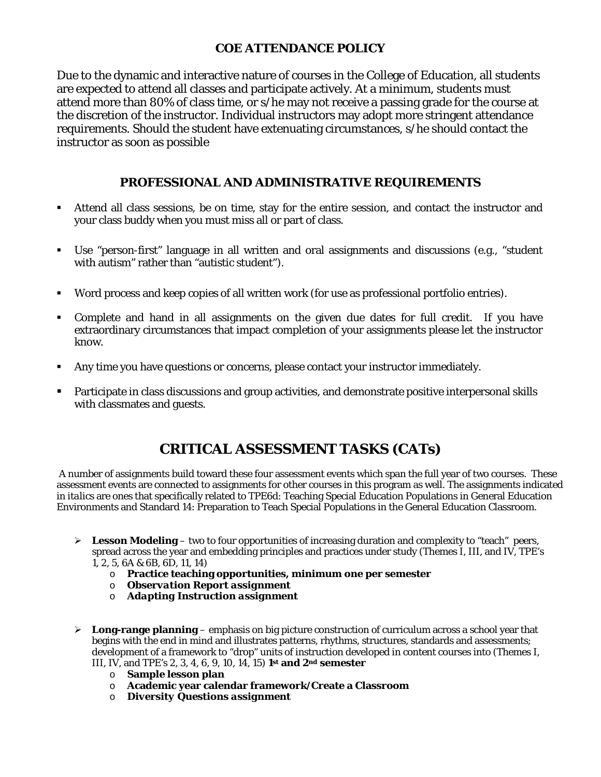# **COE ATTENDANCE POLICY**

Due to the dynamic and interactive nature of courses in the College of Education, all students are expected to attend all classes and participate actively. At a minimum, students must attend more than 80% of class time, or s/he may not receive a passing grade for the course at the discretion of the instructor. Individual instructors may adopt more stringent attendance requirements. Should the student have extenuating circumstances, s/he should contact the instructor as soon as possible

## **PROFESSIONAL AND ADMINISTRATIVE REQUIREMENTS**

- Attend all class sessions, be on time, stay for the entire session, and contact the instructor and your class buddy when you must miss all or part of class.
- Use "person-first" language in all written and oral assignments and discussions (e.g., "student with autism" rather than "autistic student").
- Word process and keep copies of all written work (for use as professional portfolio entries).
- Complete and hand in all assignments on the given due dates for full credit. If you have extraordinary circumstances that impact completion of your assignments please let the instructor know.
- Any time you have questions or concerns, please contact your instructor immediately.
- **Participate in class discussions and group activities, and demonstrate positive interpersonal skills** with classmates and guests.

# **CRITICAL ASSESSMENT TASKS (CATs)**

A number of assignments build toward these four assessment events which span the full year of two courses. These assessment events are connected to assignments for other courses in this program as well. The assignments indicated in *italics* are ones that specifically related to TPE6d: Teaching Special Education Populations in General Education Environments and Standard 14: Preparation to Teach Special Populations in the General Education Classroom.

- $\triangleright$  **Lesson Modeling** two to four opportunities of increasing duration and complexity to "teach" peers, spread across the year and embedding principles and practices under study (Themes I, III, and IV, TPE's 1, 2, 5, 6A & 6B, 6D, 11, 14)
	- o **Practice teaching opportunities, minimum one per semester**
	- o *Observation Report assignment*
	- o *Adapting Instruction assignment*
- **Long-range planning** emphasis on big picture construction of curriculum across a school year that begins with the end in mind and illustrates patterns, rhythms, structures, standards and assessments; development of a framework to "drop" units of instruction developed in content courses into (Themes I, III, IV, and TPE's 2, 3, 4, 6, 9, 10, 14, 15) **1st and 2nd semester**
	- o **Sample lesson plan**
	- o **Academic year calendar framework/Create a Classroom**
	- o *Diversity Questions assignment*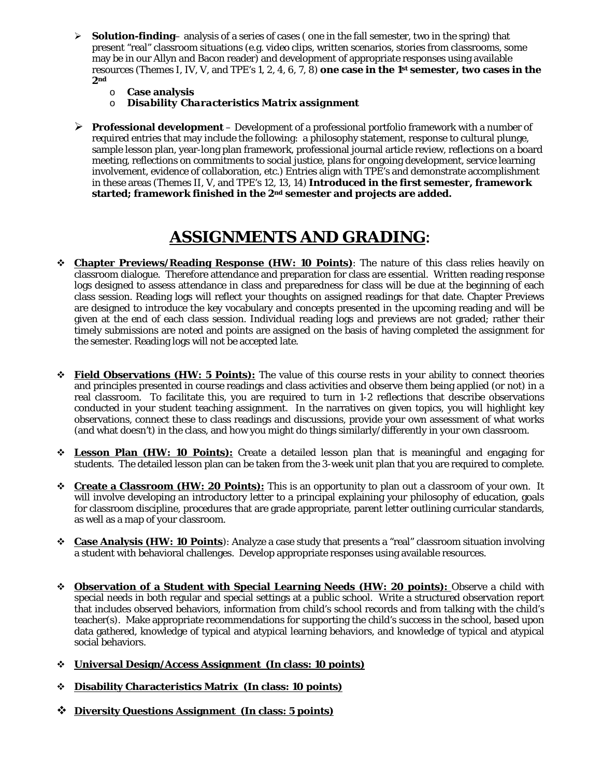- $\triangleright$  **Solution-finding** analysis of a series of cases (one in the fall semester, two in the spring) that present "real" classroom situations (e.g. video clips, written scenarios, stories from classrooms, some may be in our Allyn and Bacon reader) and development of appropriate responses using available resources (Themes I, IV, V, and TPE's 1, 2, 4, 6, 7, 8) **one case in the 1st semester, two cases in the 2nd**
	- o **Case analysis**
	- **Disability Characteristics Matrix assignment**
- **Professional development** Development of a professional portfolio framework with a number of required entries that may include the following: a philosophy statement, response to cultural plunge, sample lesson plan, year-long plan framework, professional journal article review, reflections on a board meeting, reflections on commitments to social justice, plans for ongoing development, service learning involvement, evidence of collaboration, etc.) Entries align with TPE's and demonstrate accomplishment in these areas (Themes II, V, and TPE's 12, 13, 14) **Introduced in the first semester, framework started; framework finished in the 2nd semester and projects are added.**

# **ASSIGNMENTS AND GRADING**:

- **Chapter Previews/Reading Response (HW: 10 Points)**: The nature of this class relies heavily on classroom dialogue. Therefore attendance and preparation for class are essential. Written reading response logs designed to assess attendance in class and preparedness for class will be due at the beginning of each class session. Reading logs will reflect your thoughts on assigned readings for that date. Chapter Previews are designed to introduce the key vocabulary and concepts presented in the upcoming reading and will be given at the end of each class session. Individual reading logs and previews are not graded; rather their timely submissions are noted and points are assigned on the basis of having completed the assignment for the semester. Reading logs will not be accepted late.
- **Field Observations (HW: 5 Points):** The value of this course rests in your ability to connect theories and principles presented in course readings and class activities and observe them being applied (or not) in a real classroom. To facilitate this, you are required to turn in 1-2 reflections that describe observations conducted in your student teaching assignment. In the narratives on given topics, you will highlight key observations, connect these to class readings and discussions, provide your own assessment of what works (and what doesn't) in the class, and how you might do things similarly/differently in your own classroom.
- **Lesson Plan (HW: 10 Points):** Create a detailed lesson plan that is meaningful and engaging for students. The detailed lesson plan can be taken from the 3-week unit plan that you are required to complete.
- **Create a Classroom (HW: 20 Points):** This is an opportunity to plan out a classroom of your own. It will involve developing an introductory letter to a principal explaining your philosophy of education, goals for classroom discipline, procedures that are grade appropriate, parent letter outlining curricular standards, as well as a map of your classroom.
- **Case Analysis (HW: 10 Points**): Analyze a case study that presents a "real" classroom situation involving a student with behavioral challenges. Develop appropriate responses using available resources.
- **Observation of a Student with Special Learning Needs (HW: 20 points):** Observe a child with special needs in both regular and special settings at a public school. Write a structured observation report that includes observed behaviors, information from child's school records and from talking with the child's teacher(s). Make appropriate recommendations for supporting the child's success in the school, based upon data gathered, knowledge of typical and atypical learning behaviors, and knowledge of typical and atypical social behaviors.
- **Universal Design/Access Assignment (In class: 10 points)**
- **Disability Characteristics Matrix (In class: 10 points)**
- **Diversity Questions Assignment (In class: 5 points)**